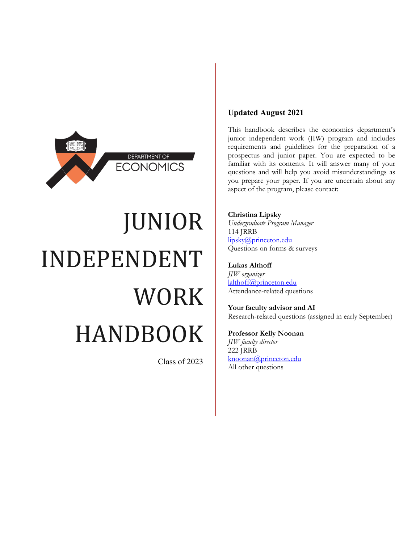

# JUNIOR INDEPENDENT WORK HANDBOOK

Class of 2023

## **Updated August 2021**

This handbook describes the economics department's junior independent work (JIW) program and includes requirements and guidelines for the preparation of a prospectus and junior paper. You are expected to be familiar with its contents. It will answer many of your questions and will help you avoid misunderstandings as you prepare your paper. If you are uncertain about any aspect of the program, please contact:

#### **Christina Lipsky**

*Undergraduate Program Manager* 114 JRRB [lipsky@princeton.edu](mailto:lipsky@princeton.edu) Questions on forms & surveys

#### **Lukas Althoff**

*JIW organizer* [lalthoff@princeton.edu](mailto:lalthoff@princeton.edu) Attendance-related questions

**Your faculty advisor and AI** Research-related questions (assigned in early September)

#### **Professor Kelly Noonan**

*JIW faculty director* 222 JRRB [knoonan@princeton.edu](mailto:knoonan@princeton.edu) All other questions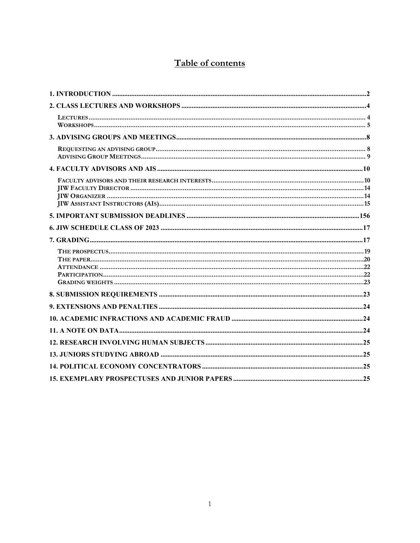# Table of contents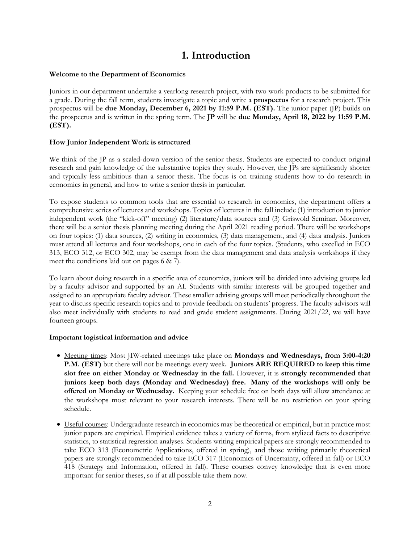# **1. Introduction**

#### <span id="page-2-0"></span>**Welcome to the Department of Economics**

Juniors in our department undertake a yearlong research project, with two work products to be submitted for a grade. During the fall term, students investigate a topic and write a **prospectus** for a research project. This prospectus will be **due Monday, December 6, 2021 by 11:59 P.M. (EST).** The junior paper (JP) builds on the prospectus and is written in the spring term. The **JP** will be **due Monday, April 18, 2022 by 11:59 P.M. (EST).**

#### **How Junior Independent Work is structured**

We think of the IP as a scaled-down version of the senior thesis. Students are expected to conduct original research and gain knowledge of the substantive topics they study. However, the JPs are significantly shorter and typically less ambitious than a senior thesis. The focus is on training students how to do research in economics in general, and how to write a senior thesis in particular.

To expose students to common tools that are essential to research in economics, the department offers a comprehensive series of lectures and workshops. Topics of lectures in the fall include (1) introduction to junior independent work (the "kick-off" meeting) (2) literature/data sources and (3) Griswold Seminar. Moreover, there will be a senior thesis planning meeting during the April 2021 reading period. There will be workshops on four topics: (1) data sources, (2) writing in economics, (3) data management, and (4) data analysis. Juniors must attend all lectures and four workshops, one in each of the four topics. (Students, who excelled in ECO 313, ECO 312, or ECO 302, may be exempt from the data management and data analysis workshops if they meet the conditions laid out on pages 6 & 7).

To learn about doing research in a specific area of economics, juniors will be divided into advising groups led by a faculty advisor and supported by an AI. Students with similar interests will be grouped together and assigned to an appropriate faculty advisor. These smaller advising groups will meet periodically throughout the year to discuss specific research topics and to provide feedback on students' progress. The faculty advisors will also meet individually with students to read and grade student assignments. During 2021/22, we will have fourteen groups.

#### **Important logistical information and advice**

- Meeting times: Most JIW-related meetings take place on **Mondays and Wednesdays, from 3:00-4:20 P.M. (EST)** but there will not be meetings every week**. Juniors ARE REQUIRED to keep this time slot free on either Monday or Wednesday in the fall.** However, it is **strongly recommended that juniors keep both days (Monday and Wednesday) free. Many of the workshops will only be offered on Monday or Wednesday.** Keeping your schedule free on both days will allow attendance at the workshops most relevant to your research interests. There will be no restriction on your spring schedule.
- Useful courses: Undergraduate research in economics may be theoretical or empirical, but in practice most junior papers are empirical. Empirical evidence takes a variety of forms, from stylized facts to descriptive statistics, to statistical regression analyses. Students writing empirical papers are strongly recommended to take ECO 313 (Econometric Applications, offered in spring), and those writing primarily theoretical papers are strongly recommended to take ECO 317 (Economics of Uncertainty, offered in fall) or ECO 418 (Strategy and Information, offered in fall). These courses convey knowledge that is even more important for senior theses, so if at all possible take them now.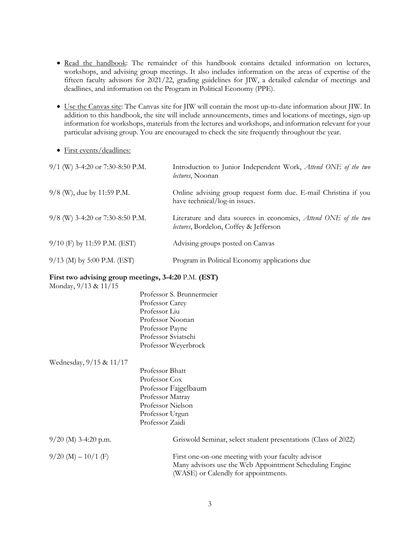- Read the handbook: The remainder of this handbook contains detailed information on lectures, workshops, and advising group meetings. It also includes information on the areas of expertise of the fifteen faculty advisors for 2021/22, grading guidelines for JIW, a detailed calendar of meetings and deadlines, and information on the Program in Political Economy (PPE).
- Use the Canvas site: The Canvas site for JIW will contain the most up-to-date information about JIW. In addition to this handbook, the site will include announcements, times and locations of meetings, sign-up information for workshops, materials from the lectures and workshops, and information relevant for your particular advising group. You are encouraged to check the site frequently throughout the year.
- First events/deadlines:

| 9/1 (W) 3-4:20 or 7:30-8:50 P.M.   | Introduction to Junior Independent Work, Attend ONE of the two<br><i>lectures</i> , Noonan                |
|------------------------------------|-----------------------------------------------------------------------------------------------------------|
| 9/8 (W), due by 11:59 P.M.         | Online advising group request form due. E-mail Christina if you<br>have technical/log-in issues.          |
| $9/8$ (W) 3-4:20 or 7:30-8:50 P.M. | Literature and data sources in economics, Attend ONE of the two<br>lectures, Bordelon, Coffey & Jefferson |
| $9/10$ (F) by 11:59 P.M. (EST)     | Advising groups posted on Canvas                                                                          |
| $9/13$ (M) by 5:00 P.M. (EST)      | Program in Political Economy applications due                                                             |

#### **First two advising group meetings, 3-4:20** P.M. **(EST)**

Monday, 9/13 & 11/15

- Professor S. Brunnermeier Professor Carey Professor Liu Professor Noonan Professor Payne Professor Sviatschi Professor Weyerbrock
- Wednesday, 9/15 & 11/17

Professor Bhatt Professor Cox Professor Fajgelbaum Professor Matray Professor Nielson Professor Urgun Professor Zaidi

| $9/20$ (M) 3-4:20 p.m. | Griswold Seminar, select student presentations (Class of 2022)                                                                                        |
|------------------------|-------------------------------------------------------------------------------------------------------------------------------------------------------|
| $9/20$ (M) $-10/1$ (F) | First one-on-one meeting with your faculty advisor<br>Many advisors use the Web Appointment Scheduling Engine<br>(WASE) or Calendly for appointments. |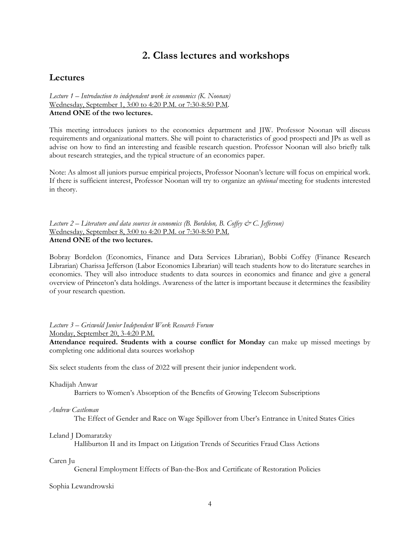# **2. Class lectures and workshops**

#### <span id="page-4-1"></span><span id="page-4-0"></span>**Lectures**

*Lecture 1 – Introduction to independent work in economics (K. Noonan)* Wednesday, September 1, 3:00 to 4:20 P.M. or 7:30-8:50 P.M. **Attend ONE of the two lectures.**

This meeting introduces juniors to the economics department and JIW. Professor Noonan will discuss requirements and organizational matters. She will point to characteristics of good prospecti and JPs as well as advise on how to find an interesting and feasible research question. Professor Noonan will also briefly talk about research strategies, and the typical structure of an economics paper.

Note: As almost all juniors pursue empirical projects, Professor Noonan's lecture will focus on empirical work. If there is sufficient interest, Professor Noonan will try to organize an *optional* meeting for students interested in theory.

*Lecture 2 – Literature and data sources in economics (B. Bordelon, B. Coffey & C. Jefferson)* Wednesday, September 8, 3:00 to 4:20 P.M. or 7:30-8:50 P.M. **Attend ONE of the two lectures.**

Bobray Bordelon (Economics, Finance and Data Services Librarian), Bobbi Coffey (Finance Research Librarian) Charissa Jefferson (Labor Economics Librarian) will teach students how to do literature searches in economics. They will also introduce students to data sources in economics and finance and give a general overview of Princeton's data holdings. Awareness of the latter is important because it determines the feasibility of your research question.

*Lecture 3 – Griswold Junior Independent Work Research Forum* Monday, September 20, 3-4:20 P.M.

**Attendance required. Students with a course conflict for Monday** can make up missed meetings by completing one additional data sources workshop

Six select students from the class of 2022 will present their junior independent work.

Khadijah Anwar

Barriers to Women's Absorption of the Benefits of Growing Telecom Subscriptions

*Andrew Castleman*

The Effect of Gender and Race on Wage Spillover from Uber's Entrance in United States Cities

Leland J Domaratzky

Halliburton II and its Impact on Litigation Trends of Securities Fraud Class Actions

Caren Ju

General Employment Effects of Ban-the-Box and Certificate of Restoration Policies

Sophia Lewandrowski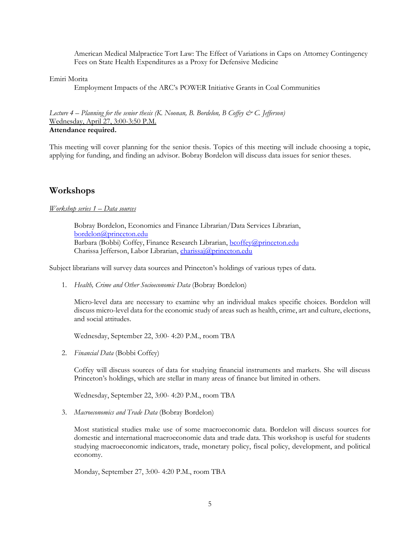American Medical Malpractice Tort Law: The Effect of Variations in Caps on Attorney Contingency Fees on State Health Expenditures as a Proxy for Defensive Medicine

Emiri Morita

Employment Impacts of the ARC's POWER Initiative Grants in Coal Communities

Lecture 4 – Planning for the senior thesis (K. Noonan, B. Bordelon, B Coffey & C. Jefferson) Wednesday, April 27, 3:00-3:50 P.M. **Attendance required.**

This meeting will cover planning for the senior thesis. Topics of this meeting will include choosing a topic, applying for funding, and finding an advisor. Bobray Bordelon will discuss data issues for senior theses.

#### <span id="page-5-0"></span>**Workshops**

*Workshop series 1 – Data sources*

Bobray Bordelon, Economics and Finance Librarian/Data Services Librarian, [bordelon@princeton.edu](mailto:bordelon@princeton.edu) Barbara (Bobbi) Coffey, Finance Research Librarian[, bcoffey@princeton.edu](mailto:bcoffey@princeton.edu) Charissa Jefferson, Labor Librarian, *charissaj@princeton.edu* 

Subject librarians will survey data sources and Princeton's holdings of various types of data.

1. *Health, Crime and Other Socioeconomic Data* (Bobray Bordelon)

Micro-level data are necessary to examine why an individual makes specific choices. Bordelon will discuss micro-level data for the economic study of areas such as health, crime, art and culture, elections, and social attitudes.

Wednesday, September 22, 3:00- 4:20 P.M., room TBA

2. *Financial Data* (Bobbi Coffey)

Coffey will discuss sources of data for studying financial instruments and markets. She will discuss Princeton's holdings, which are stellar in many areas of finance but limited in others.

Wednesday, September 22, 3:00- 4:20 P.M., room TBA

3. *Macroeconomics and Trade Data* (Bobray Bordelon)

Most statistical studies make use of some macroeconomic data. Bordelon will discuss sources for domestic and international macroeconomic data and trade data. This workshop is useful for students studying macroeconomic indicators, trade, monetary policy, fiscal policy, development, and political economy.

Monday, September 27, 3:00- 4:20 P.M., room TBA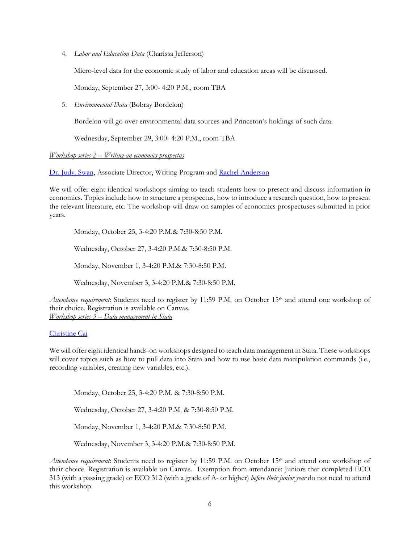4. *Labor and Education Data* (Charissa Jefferson)

Micro-level data for the economic study of labor and education areas will be discussed.

Monday, September 27, 3:00- 4:20 P.M., room TBA

5. *Environmental Data* (Bobray Bordelon)

Bordelon will go over environmental data sources and Princeton's holdings of such data.

Wednesday, September 29, 3:00- 4:20 P.M., room TBA

#### *Workshop series 2 – Writing an economics prospectus*

[Dr. Judy. Swan,](mailto:jswan@princeton.edu) Associate Director, Writing Program and [Rachel Anderson](mailto:rachelsa@princeton.edu)

We will offer eight identical workshops aiming to teach students how to present and discuss information in economics. Topics include how to structure a prospectus, how to introduce a research question, how to present the relevant literature, etc. The workshop will draw on samples of economics prospectuses submitted in prior years.

Monday, October 25, 3-4:20 P.M.& 7:30-8:50 P.M.

Wednesday, October 27, 3-4:20 P.M.& 7:30-8:50 P.M.

Monday, November 1, 3-4:20 P.M.& 7:30-8:50 P.M.

Wednesday, November 3, 3-4:20 P.M.& 7:30-8:50 P.M.

*Attendance requirement*: Students need to register by 11:59 P.M. on October 15th and attend one workshop of their choice. Registration is available on Canvas. *Workshop series 3 – Data management in Stata* 

#### [Christine Cai](mailto:christine.cai@princeton.edu)

We will offer eight identical hands-on workshops designed to teach data management in Stata. These workshops will cover topics such as how to pull data into Stata and how to use basic data manipulation commands (i.e., recording variables, creating new variables, etc.).

Monday, October 25, 3-4:20 P.M. & 7:30-8:50 P.M.

Wednesday, October 27, 3-4:20 P.M. & 7:30-8:50 P.M.

Monday, November 1, 3-4:20 P.M.& 7:30-8:50 P.M.

Wednesday, November 3, 3-4:20 P.M.& 7:30-8:50 P.M.

*Attendance requirement*: Students need to register by 11:59 P.M. on October 15th and attend one workshop of their choice. Registration is available on Canvas. Exemption from attendance: Juniors that completed ECO 313 (with a passing grade) or ECO 312 (with a grade of A- or higher) *before their junior year* do not need to attend this workshop.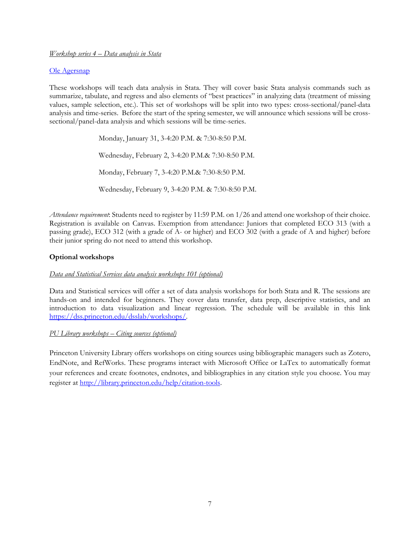#### *Workshop series 4 – Data analysis in Stata*

#### [Ole Agersnap](mailto:agersnap@princeton.edu)

These workshops will teach data analysis in Stata. They will cover basic Stata analysis commands such as summarize, tabulate, and regress and also elements of "best practices" in analyzing data (treatment of missing values, sample selection, etc.). This set of workshops will be split into two types: cross-sectional/panel-data analysis and time-series. Before the start of the spring semester, we will announce which sessions will be crosssectional/panel-data analysis and which sessions will be time-series.

> Monday, January 31, 3-4:20 P.M. & 7:30-8:50 P.M. Wednesday, February 2, 3-4:20 P.M.& 7:30-8:50 P.M. Monday, February 7, 3-4:20 P.M.& 7:30-8:50 P.M. Wednesday, February 9, 3-4:20 P.M. & 7:30-8:50 P.M.

*Attendance requirement*: Students need to register by 11:59 P.M. on 1/26 and attend one workshop of their choice. Registration is available on Canvas. Exemption from attendance: Juniors that completed ECO 313 (with a passing grade), ECO 312 (with a grade of A- or higher) and ECO 302 (with a grade of A and higher) before their junior spring do not need to attend this workshop.

#### **Optional workshops**

#### *Data and Statistical Services data analysis workshops 101 (optional)*

Data and Statistical services will offer a set of data analysis workshops for both Stata and R. The sessions are hands-on and intended for beginners. They cover data transfer, data prep, descriptive statistics, and an introduction to data visualization and linear regression. The schedule will be available in this link [https://dss.princeton.edu/dsslab/workshops/.](https://dss.princeton.edu/dsslab/workshops/)

#### *PU Library workshops – Citing sources (optional)*

<span id="page-7-0"></span>Princeton University Library offers workshops on citing sources using bibliographic managers such as Zotero, EndNote, and RefWorks. These programs interact with Microsoft Office or LaTex to automatically format your references and create footnotes, endnotes, and bibliographies in any citation style you choose. You may register at [http://library.princeton.edu/help/citation-tools.](http://library.princeton.edu/help/citation-tools)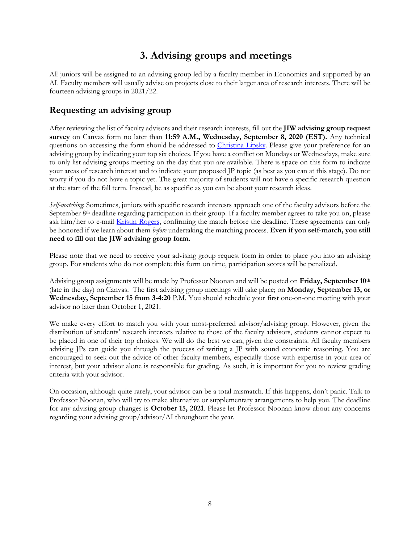# **3. Advising groups and meetings**

All juniors will be assigned to an advising group led by a faculty member in Economics and supported by an AI. Faculty members will usually advise on projects close to their larger area of research interests. There will be fourteen advising groups in 2021/22.

## <span id="page-8-0"></span>**Requesting an advising group**

After reviewing the list of faculty advisors and their research interests, fill out the **JIW advising group request survey** on Canvas form no later than **11:59 A.M., Wednesday, September 8, 2020 (EST).** Any technical questions on accessing the form should be addressed to [Christina Lipsky.](mailto:lipsky@princeton.edu) Please give your preference for an advising group by indicating your top six choices. If you have a conflict on Mondays or Wednesdays, make sure to only list advising groups meeting on the day that you are available. There is space on this form to indicate your areas of research interest and to indicate your proposed JP topic (as best as you can at this stage). Do not worry if you do not have a topic yet. The great majority of students will not have a specific research question at the start of the fall term. Instead, be as specific as you can be about your research ideas.

*Self-matching*: Sometimes, juniors with specific research interests approach one of the faculty advisors before the September 8<sup>th</sup> deadline regarding participation in their group. If a faculty member agrees to take you on, please ask him/her to e-mail [Kristin Rogers,](mailto:kmr2@princeton.edu) confirming the match before the deadline. These agreements can only be honored if we learn about them *before* undertaking the matching process. **Even if you self-match, you still need to fill out the JIW advising group form.**

Please note that we need to receive your advising group request form in order to place you into an advising group. For students who do not complete this form on time, participation scores will be penalized.

Advising group assignments will be made by Professor Noonan and will be posted on **Friday, September 10th** (late in the day) on Canvas. The first advising group meetings will take place; on **Monday, September 13, or Wednesday, September 15 from 3-4:20** P.M. You should schedule your first one-on-one meeting with your advisor no later than October 1, 2021.

We make every effort to match you with your most-preferred advisor/advising group. However, given the distribution of students' research interests relative to those of the faculty advisors, students cannot expect to be placed in one of their top choices. We will do the best we can, given the constraints. All faculty members advising JPs can guide you through the process of writing a JP with sound economic reasoning. You are encouraged to seek out the advice of other faculty members, especially those with expertise in your area of interest, but your advisor alone is responsible for grading. As such, it is important for you to review grading criteria with your advisor.

<span id="page-8-1"></span>On occasion, although quite rarely, your advisor can be a total mismatch. If this happens, don't panic. Talk to Professor Noonan, who will try to make alternative or supplementary arrangements to help you. The deadline for any advising group changes is **October 15, 2021**. Please let Professor Noonan know about any concerns regarding your advising group/advisor/AI throughout the year.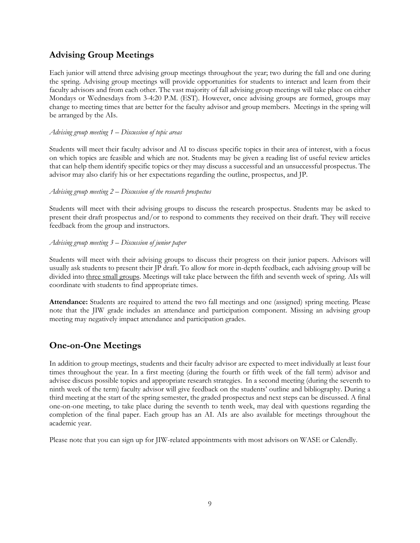# **Advising Group Meetings**

Each junior will attend three advising group meetings throughout the year; two during the fall and one during the spring. Advising group meetings will provide opportunities for students to interact and learn from their faculty advisors and from each other. The vast majority of fall advising group meetings will take place on either Mondays or Wednesdays from 3-4:20 P.M. (EST). However, once advising groups are formed, groups may change to meeting times that are better for the faculty advisor and group members. Meetings in the spring will be arranged by the AIs.

#### *Advising group meeting 1 – Discussion of topic areas*

Students will meet their faculty advisor and AI to discuss specific topics in their area of interest, with a focus on which topics are feasible and which are not. Students may be given a reading list of useful review articles that can help them identify specific topics or they may discuss a successful and an unsuccessful prospectus. The advisor may also clarify his or her expectations regarding the outline, prospectus, and JP.

#### *Advising group meeting 2 – Discussion of the research prospectus*

Students will meet with their advising groups to discuss the research prospectus. Students may be asked to present their draft prospectus and/or to respond to comments they received on their draft. They will receive feedback from the group and instructors.

#### *Advising group meeting 3 – Discussion of junior paper*

Students will meet with their advising groups to discuss their progress on their junior papers. Advisors will usually ask students to present their JP draft. To allow for more in-depth feedback, each advising group will be divided into three small groups. Meetings will take place between the fifth and seventh week of spring. AIs will coordinate with students to find appropriate times.

**Attendance:** Students are required to attend the two fall meetings and one (assigned) spring meeting. Please note that the JIW grade includes an attendance and participation component. Missing an advising group meeting may negatively impact attendance and participation grades.

## **One-on-One Meetings**

In addition to group meetings, students and their faculty advisor are expected to meet individually at least four times throughout the year. In a first meeting (during the fourth or fifth week of the fall term) advisor and advisee discuss possible topics and appropriate research strategies. In a second meeting (during the seventh to ninth week of the term) faculty advisor will give feedback on the students' outline and bibliography. During a third meeting at the start of the spring semester, the graded prospectus and next steps can be discussed. A final one-on-one meeting, to take place during the seventh to tenth week, may deal with questions regarding the completion of the final paper. Each group has an AI. AIs are also available for meetings throughout the academic year.

Please note that you can sign up for JIW-related appointments with most advisors on WASE or Calendly.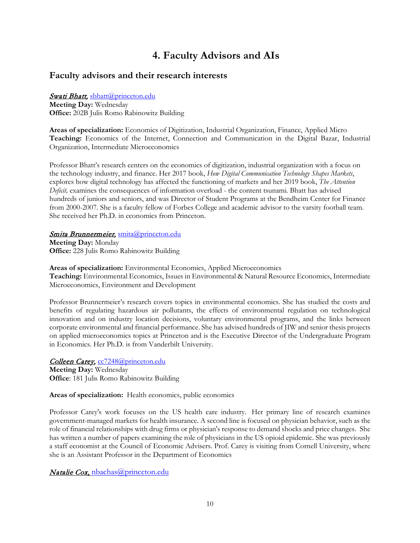# **4. Faculty Advisors and AIs**

### <span id="page-10-1"></span><span id="page-10-0"></span>**Faculty advisors and their research interests**

#### Swati Bhatt, [sbhatt@princeton.edu](mailto:sbhatt@princeton.edu)

**Meeting Day:** Wednesday **Office:** 202B Julis Romo Rabinowitz Building

**Areas of specialization:** Economics of Digitization, Industrial Organization, Finance, Applied Micro **Teaching:** Economics of the Internet, Connection and Communication in the Digital Bazar, Industrial Organization, Intermediate Microeconomics

Professor Bhatt's research centers on the economics of digitization, industrial organization with a focus on the technology industry, and finance. Her 2017 book, *How Digital Communication Technology Shapes Markets*, explores how digital technology has affected the functioning of markets and her 2019 book, *The Attention Deficit,* examines the consequences of information overload - the content tsunami. Bhatt has advised hundreds of juniors and seniors, and was Director of Student Programs at the Bendheim Center for Finance from 2000-2007. She is a faculty fellow of Forbes College and academic advisor to the varsity football team. She received her Ph.D. in economics from Princeton.

#### Smita Brunnermeier, [smita@princeton.edu](mailto:smita@princeton.edu)

**Meeting Day:** Monday **Office:** 228 Julis Romo Rabinowitz Building

**Areas of specialization:** Environmental Economics, Applied Microeconomics **Teaching:** Environmental Economics, Issues in Environmental & Natural Resource Economics, Intermediate Microeconomics, Environment and Development

Professor Brunnermeier's research covers topics in environmental economics. She has studied the costs and benefits of regulating hazardous air pollutants, the effects of environmental regulation on technological innovation and on industry location decisions, voluntary environmental programs, and the links between corporate environmental and financial performance. She has advised hundreds of JIW and senior thesis projects on applied microeconomics topics at Princeton and is the Executive Director of the Undergraduate Program in Economics. Her Ph.D. is from Vanderbilt University.

Colleen Carey, [cc7248@princeton.edu](mailto:cc7248@princeton.edu)

**Meeting Day:** Wednesday **Office**: 181 Julis Romo Rabinowitz Building

#### **Areas of specialization:** Health economics, public economics

Professor Carey's work focuses on the US health care industry. Her primary line of research examines government-managed markets for health insurance. A second line is focused on physician behavior, such as the role of financial relationships with drug firms or physician's response to demand shocks and price changes. She has written a number of papers examining the role of physicians in the US opioid epidemic. She was previously a staff economist at the Council of Economic Advisers. Prof. Carey is visiting from Cornell University, where she is an Assistant Professor in the Department of Economics

Natalie Cox, [nbachas@princeton.edu](mailto:nbachas@princeton.edu)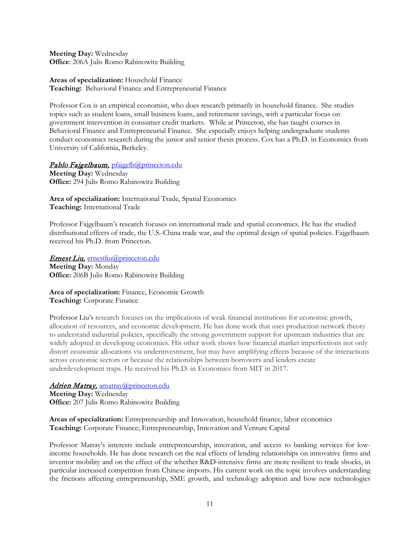**Meeting Day:** Wednesday **Office**: 206A Julis Romo Rabinowitz Building

**Areas of specialization:** Household Finance **Teaching:** Behavioral Finance and Entrepreneurial Finance

Professor Cox is an empirical economist, who does research primarily in household finance. She studies topics such as student loans, small business loans, and retirement savings, with a particular focus on government intervention in consumer credit markets. While at Princeton, she has taught courses in Behavioral Finance and Entrepreneurial Finance. She especially enjoys helping undergraduate students conduct economics research during the junior and senior thesis process. Cox has a Ph.D. in Economics from University of California, Berkeley.

Pablo Fajgelbaum, [pfajgelb@princeton.edu](mailto:pfajgelb@princeton.edu)

**Meeting Day:** Wednesday **Office:** 294 Julis Romo Rabinowitz Building

**Area of specialization:** International Trade, Spatial Economics **Teaching:** International Trade

Professor Fajgelbaum's research focuses on international trade and spatial economics. He has the studied distributional effects of trade, the U.S.-China trade war, and the optimal design of spatial policies. Fajgelbaum received his Ph.D. from Princeton.

Ernest Liu, [ernestliu@princeton.edu](mailto:ernestliu@princeton.edu) **Meeting Day:** Monday

**Office:** 206B Julis Romo Rabinowitz Building

#### **Area of specialization:** Finance, Economic Growth **Teaching:** Corporate Finance

Professor Liu's research focuses on the implications of weak financial institutions for economic growth, allocation of resources, and economic development. He has done work that uses production network theory to understand industrial policies, specifically the strong government support for upstream industries that are widely adopted in developing economies. His other work shows how financial market imperfections not only distort economic allocations via underinvestment, but may have amplifying effects because of the interactions across economic sectors or because the relationships between borrowers and lenders create underdevelopment traps. He received his Ph.D. in Economics from MIT in 2017.

## Adrien Matray, [amatray@princeton.edu](mailto:amatray@princeton.edu)

**Meeting Day:** Wednesday **Office:** 207 Julis Romo Rabinowitz Building

**Areas of specialization:** Entrepreneurship and Innovation, household finance, labor economics **Teaching:** Corporate Finance; Entrepreneurship, Innovation and Venture Capital

Professor Matray's interests include entrepreneurship, innovation, and access to banking services for lowincome households. He has done research on the real effects of lending relationships on innovative firms and inventor mobility and on the effect of the whether R&D-intensive firms are more resilient to trade shocks, in particular increased competition from Chinese imports. His current work on the topic involves understanding the frictions affecting entrepreneurship, SME growth, and technology adoption and how new technologies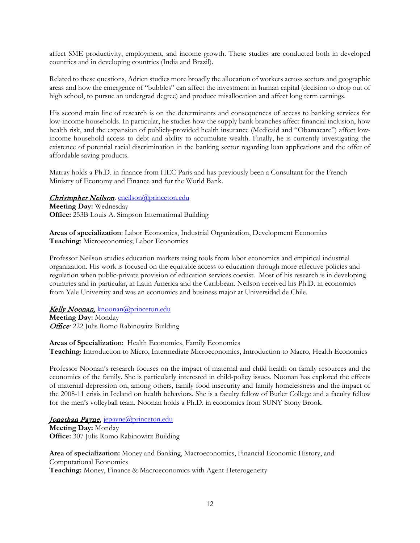affect SME productivity, employment, and income growth. These studies are conducted both in developed countries and in developing countries (India and Brazil).

Related to these questions, Adrien studies more broadly the allocation of workers across sectors and geographic areas and how the emergence of "bubbles" can affect the investment in human capital (decision to drop out of high school, to pursue an undergrad degree) and produce misallocation and affect long term earnings.

His second main line of research is on the determinants and consequences of access to banking services for low-income households. In particular, he studies how the supply bank branches affect financial inclusion, how health risk, and the expansion of publicly-provided health insurance (Medicaid and "Obamacare") affect lowincome household access to debt and ability to accumulate wealth. Finally, he is currently investigating the existence of potential racial discrimination in the banking sector regarding loan applications and the offer of affordable saving products.

Matray holds a Ph.D. in finance from HEC Paris and has previously been a Consultant for the French Ministry of Economy and Finance and for the World Bank.

#### Christopher Neilson*,* [cneilson@princeton.edu](mailto:cneilson@princeton.edu)

**Meeting Day:** Wednesday **Office:** 253B Louis A. Simpson International Building

**Areas of specialization**: Labor Economics, Industrial Organization, Development Economics **Teaching**: Microeconomics; Labor Economics

Professor Neilson studies education markets using tools from labor economics and empirical industrial organization. His work is focused on the equitable access to education through more effective policies and regulation when public-private provision of education services coexist. Most of his research is in developing countries and in particular, in Latin America and the Caribbean. Neilson received his Ph.D. in economics from Yale University and was an economics and business major at Universidad de Chile.

#### Kelly Noonan, [knoonan@princeton.edu](mailto:knoonan@princeton.edu)

**Meeting Day:** Monday Office*:* 222 Julis Romo Rabinowitz Building

**Areas of Specialization**: Health Economics, Family Economics **Teaching**: Introduction to Micro, Intermediate Microeconomics, Introduction to Macro, Health Economics

Professor Noonan's research focuses on the impact of maternal and child health on family resources and the economics of the family. She is particularly interested in child-policy issues. Noonan has explored the effects of maternal depression on, among others, family food insecurity and family homelessness and the impact of the 2008-11 crisis in Iceland on health behaviors. She is a faculty fellow of Butler College and a faculty fellow for the men's volleyball team. Noonan holds a Ph.D. in economics from SUNY Stony Brook.

Jonathan Payne, [jepayne@princeton.edu](mailto:jepayne@princeton.edu) **Meeting Day:** Monday **Office:** 307 Julis Romo Rabinowitz Building

**Area of specialization:** Money and Banking, Macroeconomics, Financial Economic History, and Computational Economics **Teaching:** Money, Finance & Macroeconomics with Agent Heterogeneity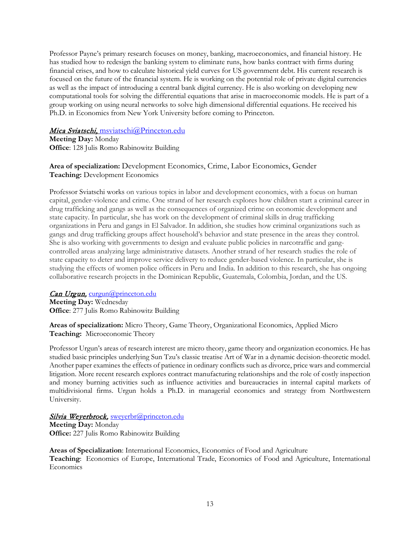Professor Payne's primary research focuses on money, banking, macroeconomics, and financial history. He has studied how to redesign the banking system to eliminate runs, how banks contract with firms during financial crises, and how to calculate historical yield curves for US government debt. His current research is focused on the future of the financial system. He is working on the potential role of private digital currencies as well as the impact of introducing a central bank digital currency. He is also working on developing new computational tools for solving the differential equations that arise in macroeconomic models. He is part of a group working on using neural networks to solve high dimensional differential equations. He received his Ph.D. in Economics from New York University before coming to Princeton.

#### Mica Sviatschi, [msviatschi@Princeton.edu](mailto:msviatschi@Princeton.edu)

**Meeting Day:** Monday **Office**: 128 Julis Romo Rabinowitz Building

#### **Area of specialization:** Development Economics, Crime, Labor Economics, Gender **Teaching:** Development Economics

Professor Sviatschi works on various topics in labor and development economics, with a focus on human capital, gender-violence and crime. One strand of her research explores how children start a criminal career in drug trafficking and gangs as well as the consequences of organized crime on economic development and state capacity. In particular, she has work on the development of criminal skills in drug trafficking organizations in Peru and gangs in El Salvador. In addition, she studies how criminal organizations such as gangs and drug trafficking groups affect household's behavior and state presence in the areas they control. She is also working with governments to design and evaluate public policies in narcotraffic and gangcontrolled areas analyzing large administrative datasets. Another strand of her research studies the role of state capacity to deter and improve service delivery to reduce gender-based violence. In particular, she is studying the effects of women police officers in Peru and India. In addition to this research, she has ongoing collaborative research projects in the Dominican Republic, Guatemala, Colombia, Jordan, and the US.

#### Can Urgun, [curgun@princeton.edu](mailto:curgun@princeton.edu)

**Meeting Day:** Wednesday **Office**: 277 Julis Romo Rabinowitz Building

**Areas of specialization:** Micro Theory, Game Theory, Organizational Economics, Applied Micro **Teaching:** Microeconomic Theory

Professor Urgun's areas of research interest are micro theory, game theory and organization economics. He has studied basic principles underlying Sun Tzu's classic treatise Art of War in a dynamic decision-theoretic model. Another paper examines the effects of patience in ordinary conflicts such as divorce, price wars and commercial litigation. More recent research explores contract manufacturing relationships and the role of costly inspection and money burning activities such as influence activities and bureaucracies in internal capital markets of multidivisional firms. Urgun holds a Ph.D. in managerial economics and strategy from Northwestern University.

#### Silvia Weyerbrock, [sweyerbr@princeton.edu](mailto:sweyerbr@princeton.edu)

**Meeting Day:** Monday **Office:** 227 Julis Romo Rabinowitz Building

**Areas of Specialization**: International Economics, Economics of Food and Agriculture **Teaching**: Economics of Europe, International Trade, Economics of Food and Agriculture, International Economics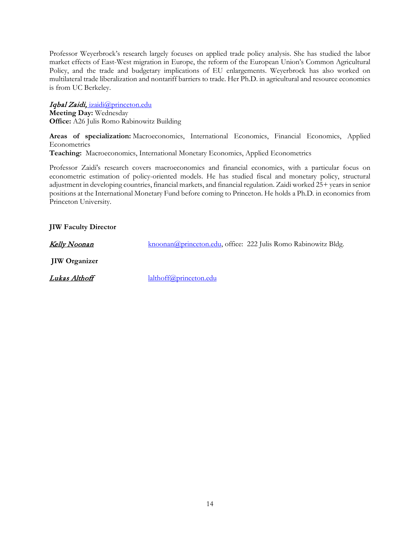Professor Weyerbrock's research largely focuses on applied trade policy analysis. She has studied the labor market effects of East-West migration in Europe, the reform of the European Union's Common Agricultural Policy, and the trade and budgetary implications of EU enlargements. Weyerbrock has also worked on multilateral trade liberalization and nontariff barriers to trade. Her Ph.D. in agricultural and resource economics is from UC Berkeley.

#### Iqbal Zaidi, [izaidi@princeton.edu](mailto:%20izaidi@princeton.edu)

**Meeting Day:** Wednesday **Office:** A26 Julis Romo Rabinowitz Building

**Areas of specialization:** Macroeconomics, International Economics, Financial Economics, Applied **Econometrics** 

**Teaching:** Macroeconomics, International Monetary Economics, Applied Econometrics

Professor Zaidi's research covers macroeconomics and financial economics, with a particular focus on econometric estimation of policy-oriented models. He has studied fiscal and monetary policy, structural adjustment in developing countries, financial markets, and financial regulation. Zaidi worked 25+ years in senior positions at the International Monetary Fund before coming to Princeton. He holds a Ph.D. in economics from Princeton University.

#### **JIW Faculty Director**

| <u>Kelly Noonan</u>  |                           | knoonan@princeton.edu, office: 222 Julis Romo Rabinowitz Bldg. |
|----------------------|---------------------------|----------------------------------------------------------------|
| <b>JIW</b> Organizer |                           |                                                                |
| <u>Lukas Althoff</u> | $l$ althoff@princeton.edu |                                                                |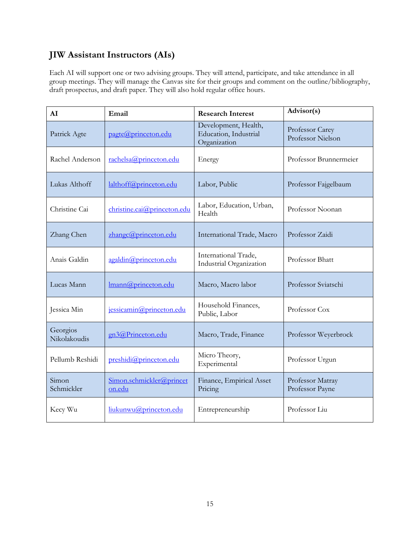# **JIW Assistant Instructors (AIs)**

Each AI will support one or two advising groups. They will attend, participate, and take attendance in all group meetings. They will manage the Canvas site for their groups and comment on the outline/bibliography, draft prospectus, and draft paper. They will also hold regular office hours.

<span id="page-15-0"></span>

| AI                                        | Email                              | <b>Research Interest</b>                                      | Advisor(s)                           |  |  |
|-------------------------------------------|------------------------------------|---------------------------------------------------------------|--------------------------------------|--|--|
| Patrick Agte                              | pagte@princeton.edu                | Development, Health,<br>Education, Industrial<br>Organization | Professor Carey<br>Professor Nielson |  |  |
| Rachel Anderson                           | rachelsa@princeton.edu             | Energy                                                        | Professor Brunnermeier               |  |  |
| Lukas Althoff                             | lalthoff@princeton.edu             | Labor, Public                                                 | Professor Fajgelbaum                 |  |  |
| Christine Cai                             | christine.cai@princeton.edu        | Labor, Education, Urban,<br>Health                            | Professor Noonan                     |  |  |
| zhangc@princeton.edu<br>Zhang Chen        |                                    | International Trade, Macro                                    | Professor Zaidi                      |  |  |
| Anais Galdin<br>agaldin@princeton.edu     |                                    | International Trade,<br>Industrial Organization               | Professor Bhatt                      |  |  |
| Lucas Mann                                | Imann@princeton.edu                | Macro, Macro labor                                            | Professor Sviatschi                  |  |  |
| Jessica Min                               | jessicamin@princeton.edu           | Household Finances,<br>Public, Labor                          | Professor Cox                        |  |  |
| Georgios<br>Nikolakoudis                  | gn3@Princeton.edu                  | Macro, Trade, Finance                                         | Professor Weyerbrock                 |  |  |
| Pellumb Reshidi<br>preshidi@princeton.edu |                                    | Micro Theory,<br>Experimental                                 | Professor Urgun                      |  |  |
| Simon<br>Schmickler                       | Simon.schmickler@princet<br>on.edu | Finance, Empirical Asset<br>Pricing                           | Professor Matray<br>Professor Payne  |  |  |
| Kecy Wu                                   | liukunwu@princeton.edu             | Entrepreneurship                                              | Professor Liu                        |  |  |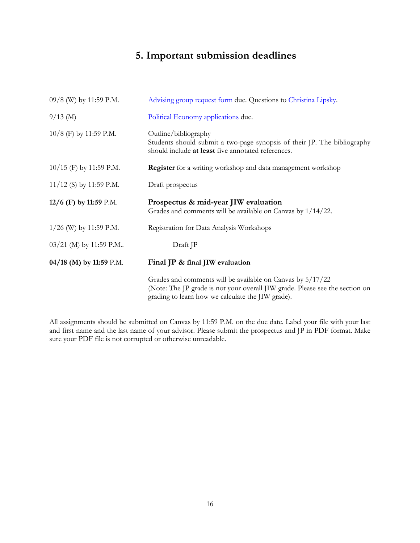# **5. Important submission deadlines**

| 09/8 (W) by 11:59 P.M.    | Advising group request form due. Questions to Christina Lipsky.                                                                                                                                 |
|---------------------------|-------------------------------------------------------------------------------------------------------------------------------------------------------------------------------------------------|
| $9/13$ (M)                | Political Economy applications due.                                                                                                                                                             |
| $10/8$ (F) by 11:59 P.M.  | Outline/bibliography<br>Students should submit a two-page synopsis of their JP. The bibliography<br>should include at least five annotated references.                                          |
| $10/15$ (F) by 11:59 P.M. | <b>Register</b> for a writing workshop and data management workshop                                                                                                                             |
| $11/12$ (S) by 11:59 P.M. | Draft prospectus                                                                                                                                                                                |
| 12/6 (F) by 11:59 P.M.    | Prospectus & mid-year JIW evaluation<br>Grades and comments will be available on Canvas by 1/14/22.                                                                                             |
| $1/26$ (W) by 11:59 P.M.  | Registration for Data Analysis Workshops                                                                                                                                                        |
| 03/21 (M) by 11:59 P.M    | Draft JP                                                                                                                                                                                        |
| 04/18 (M) by 11:59 P.M.   | Final JP & final JIW evaluation                                                                                                                                                                 |
|                           | Grades and comments will be available on Canvas by 5/17/22<br>(Note: The JP grade is not your overall JIW grade. Please see the section on<br>grading to learn how we calculate the JIW grade). |

<span id="page-16-0"></span>All assignments should be submitted on Canvas by 11:59 P.M. on the due date. Label your file with your last and first name and the last name of your advisor. Please submit the prospectus and JP in PDF format. Make sure your PDF file is not corrupted or otherwise unreadable.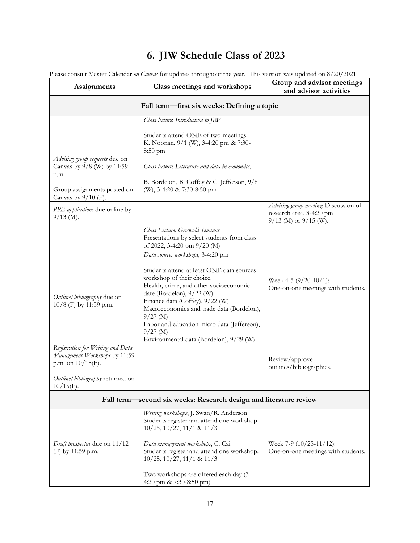# **6. JIW Schedule Class of 2023**

<span id="page-17-0"></span>

| Assignments                                                                                                                     | Class meetings and workshops                                                                                                                                                                                                                                                                                                                                                                | Group and advisor meetings<br>and advisor activities                                       |  |  |  |  |  |
|---------------------------------------------------------------------------------------------------------------------------------|---------------------------------------------------------------------------------------------------------------------------------------------------------------------------------------------------------------------------------------------------------------------------------------------------------------------------------------------------------------------------------------------|--------------------------------------------------------------------------------------------|--|--|--|--|--|
| Fall term—first six weeks: Defining a topic                                                                                     |                                                                                                                                                                                                                                                                                                                                                                                             |                                                                                            |  |  |  |  |  |
|                                                                                                                                 | Class lecture: Introduction to JIW                                                                                                                                                                                                                                                                                                                                                          |                                                                                            |  |  |  |  |  |
|                                                                                                                                 | Students attend ONE of two meetings.<br>K. Noonan, 9/1 (W), 3-4:20 pm & 7:30-<br>$8:50$ pm                                                                                                                                                                                                                                                                                                  |                                                                                            |  |  |  |  |  |
| Advising group requests due on<br>Canvas by 9/8 (W) by 11:59<br>p.m.                                                            | Class lecture: Literature and data in economics,                                                                                                                                                                                                                                                                                                                                            |                                                                                            |  |  |  |  |  |
| Group assignments posted on<br>Canvas by $9/10$ (F).                                                                            | B. Bordelon, B. Coffey & C. Jefferson, $9/8$<br>(W), 3-4:20 & 7:30-8:50 pm                                                                                                                                                                                                                                                                                                                  |                                                                                            |  |  |  |  |  |
| PPE applications due online by<br>$9/13$ (M).                                                                                   |                                                                                                                                                                                                                                                                                                                                                                                             | Advising group meeting: Discussion of<br>research area, 3-4:20 pm<br>9/13 (M) or 9/15 (W). |  |  |  |  |  |
|                                                                                                                                 | Class Lecture: Griswold Seminar<br>Presentations by select students from class<br>of 2022, 3-4:20 pm 9/20 (M)                                                                                                                                                                                                                                                                               |                                                                                            |  |  |  |  |  |
| Outline/bibliography due on<br>10/8 (F) by 11:59 p.m.                                                                           | Data sources workshops, 3-4:20 pm<br>Students attend at least ONE data sources<br>workshop of their choice.<br>Health, crime, and other socioeconomic<br>date (Bordelon), 9/22 (W)<br>Finance data (Coffey), 9/22 (W)<br>Macroeconomics and trade data (Bordelon),<br>$9/27$ (M)<br>Labor and education micro data (Jefferson),<br>$9/27 \;$ (M)<br>Environmental data (Bordelon), 9/29 (W) | Week 4-5 (9/20-10/1):<br>One-on-one meetings with students.                                |  |  |  |  |  |
| Registration for Writing and Data<br>Management Workshops by 11:59<br>p.m. on $10/15$ (F).<br>Outline/ bibliography returned on |                                                                                                                                                                                                                                                                                                                                                                                             | Review/approve<br>outlines/bibliographies.                                                 |  |  |  |  |  |
| $10/15(F)$ .                                                                                                                    | Fall term-second six weeks: Research design and literature review                                                                                                                                                                                                                                                                                                                           |                                                                                            |  |  |  |  |  |
| Draft prospectus due on 11/12                                                                                                   | Writing workshops, J. Swan/R. Anderson<br>Students register and attend one workshop<br>$10/25$ , $10/27$ , $11/1$ & $11/3$<br>Data management workshops, C. Cai                                                                                                                                                                                                                             | Week 7-9 $(10/25-11/12)$ :                                                                 |  |  |  |  |  |
| (F) by 11:59 p.m.                                                                                                               | Students register and attend one workshop.<br>$10/25$ , $10/27$ , $11/1$ & $11/3$<br>Two workshops are offered each day (3-<br>4:20 pm & 7:30-8:50 pm)                                                                                                                                                                                                                                      | One-on-one meetings with students.                                                         |  |  |  |  |  |

Please consult Master Calendar *on Canvas* for updates throughout the year. This version was updated on 8/20/2021.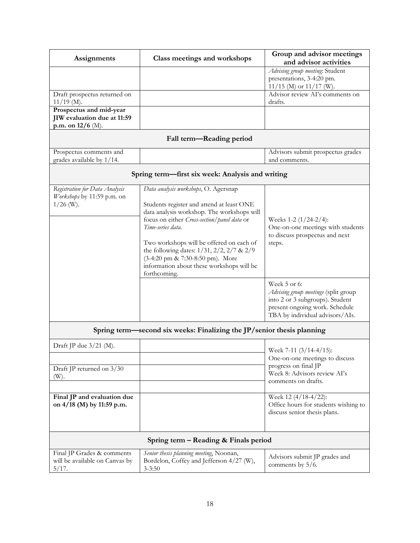| Assignments                                                                 | Class meetings and workshops                                                                                                                                                                                                                                                                                                                                                                            | Group and advisor meetings<br>and advisor activities                                                                                                         |  |  |
|-----------------------------------------------------------------------------|---------------------------------------------------------------------------------------------------------------------------------------------------------------------------------------------------------------------------------------------------------------------------------------------------------------------------------------------------------------------------------------------------------|--------------------------------------------------------------------------------------------------------------------------------------------------------------|--|--|
|                                                                             |                                                                                                                                                                                                                                                                                                                                                                                                         | Advising group meeting: Student<br>presentations, 3-4:20 pm.<br>$11/15$ (M) or $11/17$ (W).                                                                  |  |  |
| Draft prospectus returned on<br>$11/19$ (M).                                |                                                                                                                                                                                                                                                                                                                                                                                                         | Advisor review AI's comments on<br>drafts.                                                                                                                   |  |  |
| Prospectus and mid-year<br>JIW evaluation due at 11:59<br>p.m. on 12/6 (M). |                                                                                                                                                                                                                                                                                                                                                                                                         |                                                                                                                                                              |  |  |
|                                                                             | Fall term-Reading period                                                                                                                                                                                                                                                                                                                                                                                |                                                                                                                                                              |  |  |
| Prospectus comments and<br>grades available by 1/14.                        |                                                                                                                                                                                                                                                                                                                                                                                                         | Advisors submit prospectus grades<br>and comments.                                                                                                           |  |  |
|                                                                             | Spring term—first six week: Analysis and writing                                                                                                                                                                                                                                                                                                                                                        |                                                                                                                                                              |  |  |
| Registration for Data Analysis<br>Workshops by 11:59 p.m. on<br>$1/26$ (W). | Data analysis workshops, O. Agersnap<br>Students register and attend at least ONE<br>data analysis workshop. The workshops will<br>focus on either Cross-section/panel data or<br>Time-series data.<br>Two workshops will be offered on each of<br>the following dates: $1/31$ , $2/2$ , $2/7$ & $2/9$<br>(3-4:20 pm & 7:30-8:50 pm). More<br>information about these workshops will be<br>forthcoming. | Weeks 1-2 (1/24-2/4):<br>One-on-one meetings with students<br>to discuss prospectus and next<br>steps.                                                       |  |  |
|                                                                             |                                                                                                                                                                                                                                                                                                                                                                                                         | Week 5 or 6:<br>Advising group meetings (split group<br>into 2 or 3 subgroups). Student<br>present ongoing work. Schedule<br>TBA by individual advisors/AIs. |  |  |
|                                                                             | Spring term—second six weeks: Finalizing the JP/senior thesis planning                                                                                                                                                                                                                                                                                                                                  |                                                                                                                                                              |  |  |
| Draft JP due $3/21$ (M).<br>Draft JP returned on 3/30<br>(W).               |                                                                                                                                                                                                                                                                                                                                                                                                         | Week 7-11 (3/14-4/15):<br>One-on-one meetings to discuss<br>progress on final JP<br>Week 8: Advisors review AI's<br>comments on drafts.                      |  |  |
| Final JP and evaluation due<br>on 4/18 (M) by 11:59 p.m.                    |                                                                                                                                                                                                                                                                                                                                                                                                         | Week 12 (4/18-4/22):<br>Office hours for students wishing to<br>discuss senior thesis plans.                                                                 |  |  |
|                                                                             | Spring term – Reading & Finals period                                                                                                                                                                                                                                                                                                                                                                   |                                                                                                                                                              |  |  |
| Final JP Grades & comments<br>will be available on Canvas by<br>5/17.       | Senior thesis planning meeting, Noonan,<br>Bordelon, Coffey and Jefferson 4/27 (W),<br>$3 - 3:50$                                                                                                                                                                                                                                                                                                       | Advisors submit JP grades and<br>comments by 5/6.                                                                                                            |  |  |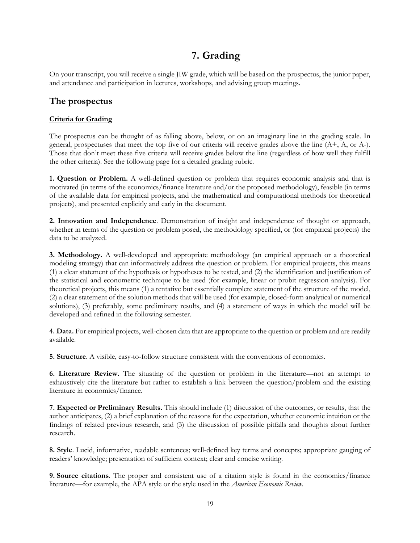# **7. Grading**

On your transcript, you will receive a single JIW grade, which will be based on the prospectus, the junior paper, and attendance and participation in lectures, workshops, and advising group meetings.

## <span id="page-19-0"></span>**The prospectus**

#### **Criteria for Grading**

The prospectus can be thought of as falling above, below, or on an imaginary line in the grading scale. In general, prospectuses that meet the top five of our criteria will receive grades above the line (A+, A, or A-). Those that don't meet these five criteria will receive grades below the line (regardless of how well they fulfill the other criteria). See the following page for a detailed grading rubric.

**1. Question or Problem.** A well-defined question or problem that requires economic analysis and that is motivated (in terms of the economics/finance literature and/or the proposed methodology), feasible (in terms of the available data for empirical projects, and the mathematical and computational methods for theoretical projects), and presented explicitly and early in the document.

**2. Innovation and Independence**. Demonstration of insight and independence of thought or approach, whether in terms of the question or problem posed, the methodology specified, or (for empirical projects) the data to be analyzed.

**3. Methodology.** A well-developed and appropriate methodology (an empirical approach or a theoretical modeling strategy) that can informatively address the question or problem. For empirical projects, this means (1) a clear statement of the hypothesis or hypotheses to be tested, and (2) the identification and justification of the statistical and econometric technique to be used (for example, linear or probit regression analysis). For theoretical projects, this means (1) a tentative but essentially complete statement of the structure of the model, (2) a clear statement of the solution methods that will be used (for example, closed-form analytical or numerical solutions), (3) preferably, some preliminary results, and (4) a statement of ways in which the model will be developed and refined in the following semester.

**4. Data.** For empirical projects, well-chosen data that are appropriate to the question or problem and are readily available.

**5. Structure**. A visible, easy-to-follow structure consistent with the conventions of economics.

**6. Literature Review.** The situating of the question or problem in the literature—not an attempt to exhaustively cite the literature but rather to establish a link between the question/problem and the existing literature in economics/finance.

**7. Expected or Preliminary Results.** This should include (1) discussion of the outcomes, or results, that the author anticipates, (2) a brief explanation of the reasons for the expectation, whether economic intuition or the findings of related previous research, and (3) the discussion of possible pitfalls and thoughts about further research.

**8. Style**. Lucid, informative, readable sentences; well-defined key terms and concepts; appropriate gauging of readers' knowledge; presentation of sufficient context; clear and concise writing.

**9. Source citations**. The proper and consistent use of a citation style is found in the economics/finance literature—for example, the APA style or the style used in the *American Economic Review*.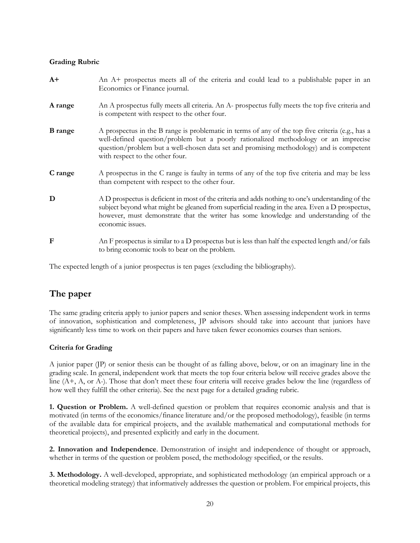#### **Grading Rubric**

| $A+$           | An A+ prospectus meets all of the criteria and could lead to a publishable paper in an<br>Economics or Finance journal.                                                                                                                                                                                               |
|----------------|-----------------------------------------------------------------------------------------------------------------------------------------------------------------------------------------------------------------------------------------------------------------------------------------------------------------------|
| A range        | An A prospectus fully meets all criteria. An A- prospectus fully meets the top five criteria and<br>is competent with respect to the other four.                                                                                                                                                                      |
| <b>B</b> range | A prospectus in the B range is problematic in terms of any of the top five criteria (e.g., has a<br>well-defined question/problem but a poorly rationalized methodology or an imprecise<br>question/problem but a well-chosen data set and promising methodology) and is competent<br>with respect to the other four. |
| C range        | A prospectus in the C range is faulty in terms of any of the top five criteria and may be less<br>than competent with respect to the other four.                                                                                                                                                                      |
| D              | A D prospectus is deficient in most of the criteria and adds nothing to one's understanding of the<br>subject beyond what might be gleaned from superficial reading in the area. Even a D prospectus,<br>however, must demonstrate that the writer has some knowledge and understanding of the<br>economic issues.    |
| F              | An F prospectus is similar to a D prospectus but is less than half the expected length and/or fails<br>to bring economic tools to bear on the problem.                                                                                                                                                                |

The expected length of a junior prospectus is ten pages (excluding the bibliography).

# <span id="page-20-0"></span>**The paper**

The same grading criteria apply to junior papers and senior theses. When assessing independent work in terms of innovation, sophistication and completeness, JP advisors should take into account that juniors have significantly less time to work on their papers and have taken fewer economics courses than seniors.

#### **Criteria for Grading**

A junior paper (JP) or senior thesis can be thought of as falling above, below, or on an imaginary line in the grading scale. In general, independent work that meets the top four criteria below will receive grades above the line (A+, A, or A-). Those that don't meet these four criteria will receive grades below the line (regardless of how well they fulfill the other criteria). See the next page for a detailed grading rubric.

**1. Question or Problem.** A well-defined question or problem that requires economic analysis and that is motivated (in terms of the economics/finance literature and/or the proposed methodology), feasible (in terms of the available data for empirical projects, and the available mathematical and computational methods for theoretical projects), and presented explicitly and early in the document.

**2. Innovation and Independence**. Demonstration of insight and independence of thought or approach, whether in terms of the question or problem posed, the methodology specified, or the results.

**3. Methodology.** A well-developed, appropriate, and sophisticated methodology (an empirical approach or a theoretical modeling strategy) that informatively addresses the question or problem. For empirical projects, this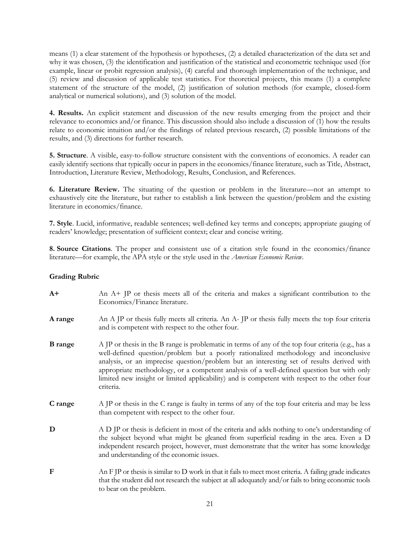means (1) a clear statement of the hypothesis or hypotheses, (2) a detailed characterization of the data set and why it was chosen, (3) the identification and justification of the statistical and econometric technique used (for example, linear or probit regression analysis), (4) careful and thorough implementation of the technique, and (5) review and discussion of applicable test statistics. For theoretical projects, this means (1) a complete statement of the structure of the model, (2) justification of solution methods (for example, closed-form analytical or numerical solutions), and (3) solution of the model.

**4. Results.** An explicit statement and discussion of the new results emerging from the project and their relevance to economics and/or finance. This discussion should also include a discussion of (1) how the results relate to economic intuition and/or the findings of related previous research, (2) possible limitations of the results, and (3) directions for further research.

**5. Structure**. A visible, easy-to-follow structure consistent with the conventions of economics. A reader can easily identify sections that typically occur in papers in the economics/finance literature, such as Title, Abstract, Introduction, Literature Review, Methodology, Results, Conclusion, and References.

**6. Literature Review.** The situating of the question or problem in the literature—not an attempt to exhaustively cite the literature, but rather to establish a link between the question/problem and the existing literature in economics/finance.

**7. Style**. Lucid, informative, readable sentences; well-defined key terms and concepts; appropriate gauging of readers' knowledge; presentation of sufficient context; clear and concise writing.

**8. Source Citations**. The proper and consistent use of a citation style found in the economics/finance literature—for example, the APA style or the style used in the *American Economic Review*.

#### **Grading Rubric**

| $A+$           | An A+ JP or thesis meets all of the criteria and makes a significant contribution to the<br>Economics/Finance literature.                                                                                                                                                                                                                                                                                                                                                                          |
|----------------|----------------------------------------------------------------------------------------------------------------------------------------------------------------------------------------------------------------------------------------------------------------------------------------------------------------------------------------------------------------------------------------------------------------------------------------------------------------------------------------------------|
| A range        | An A JP or thesis fully meets all criteria. An A-JP or thesis fully meets the top four criteria<br>and is competent with respect to the other four.                                                                                                                                                                                                                                                                                                                                                |
| <b>B</b> range | A JP or thesis in the B range is problematic in terms of any of the top four criteria (e.g., has a<br>well-defined question/problem but a poorly rationalized methodology and inconclusive<br>analysis, or an imprecise question/problem but an interesting set of results derived with<br>appropriate methodology, or a competent analysis of a well-defined question but with only<br>limited new insight or limited applicability) and is competent with respect to the other four<br>criteria. |
| C range        | A JP or thesis in the C range is faulty in terms of any of the top four criteria and may be less<br>than competent with respect to the other four.                                                                                                                                                                                                                                                                                                                                                 |
| D              | A D JP or thesis is deficient in most of the criteria and adds nothing to one's understanding of<br>the subject beyond what might be gleaned from superficial reading in the area. Even a D<br>independent research project, however, must demonstrate that the writer has some knowledge<br>and understanding of the economic issues.                                                                                                                                                             |
| $\mathbf{F}$   | An $F$ IP or thesis is similar to $D$ work in that it fails to meet most criteria. A failing grade indicates<br>that the student did not research the subject at all adequately and/or fails to bring economic tools<br>to bear on the problem.                                                                                                                                                                                                                                                    |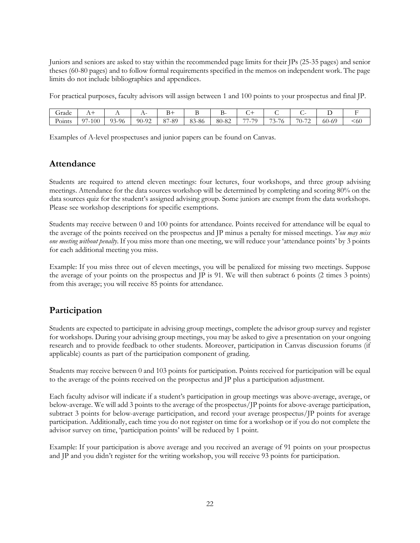Juniors and seniors are asked to stay within the recommended page limits for their JPs (25-35 pages) and senior theses (60-80 pages) and to follow formal requirements specified in the memos on independent work. The page limits do not include bibliographies and appendices.

For practical purposes, faculty advisors will assign between 1 and 100 points to your prospectus and final JP.

| Grade       | <b>⊥ ⊾</b>            | . .                        | <u>. .</u>              |                      |                  | -     | ີ                                           |                                                                                           | . .                                           | ້                                                |                           |
|-------------|-----------------------|----------------------------|-------------------------|----------------------|------------------|-------|---------------------------------------------|-------------------------------------------------------------------------------------------|-----------------------------------------------|--------------------------------------------------|---------------------------|
| -<br>Points | $\Omega$<br>$7 - 100$ | 02<br>-96<br>$\sim$<br>ر . | $\sim$<br>$90-$<br>- 24 | 07<br>-89<br>29<br>Ο | ∩∩<br>`-86<br>oə | 80-82 | $- -$<br>$\sim$<br>$\overline{\phantom{a}}$ | $\overline{\phantom{a}}$<br>$\overline{\phantom{0}}$<br>' r<br>$-1$<br>$\cdot$<br>$\cdot$ | $\sim$<br>$\overline{\phantom{0}}$<br>U-<br>- | $\overline{\phantom{a}}$<br>$\sim$<br>60-c<br>.ט | $\sim$ 0.00 $\sim$<br>902 |

Examples of A-level prospectuses and junior papers can be found on Canvas.

## <span id="page-22-0"></span>**Attendance**

Students are required to attend eleven meetings: four lectures, four workshops, and three group advising meetings. Attendance for the data sources workshop will be determined by completing and scoring 80% on the data sources quiz for the student's assigned advising group. Some juniors are exempt from the data workshops. Please see workshop descriptions for specific exemptions.

Students may receive between 0 and 100 points for attendance. Points received for attendance will be equal to the average of the points received on the prospectus and JP minus a penalty for missed meetings. *You may miss one meeting without penalty*. If you miss more than one meeting, we will reduce your 'attendance points' by 3 points for each additional meeting you miss.

Example: If you miss three out of eleven meetings, you will be penalized for missing two meetings. Suppose the average of your points on the prospectus and JP is 91. We will then subtract 6 points (2 times 3 points) from this average; you will receive 85 points for attendance.

# <span id="page-22-1"></span>**Participation**

Students are expected to participate in advising group meetings, complete the advisor group survey and register for workshops. During your advising group meetings, you may be asked to give a presentation on your ongoing research and to provide feedback to other students. Moreover, participation in Canvas discussion forums (if applicable) counts as part of the participation component of grading.

Students may receive between 0 and 103 points for participation. Points received for participation will be equal to the average of the points received on the prospectus and JP plus a participation adjustment.

Each faculty advisor will indicate if a student's participation in group meetings was above-average, average, or below-average. We will add 3 points to the average of the prospectus/JP points for above-average participation, subtract 3 points for below-average participation, and record your average prospectus/JP points for average participation. Additionally, each time you do not register on time for a workshop or if you do not complete the advisor survey on time, 'participation points' will be reduced by 1 point.

Example: If your participation is above average and you received an average of 91 points on your prospectus and JP and you didn't register for the writing workshop, you will receive 93 points for participation.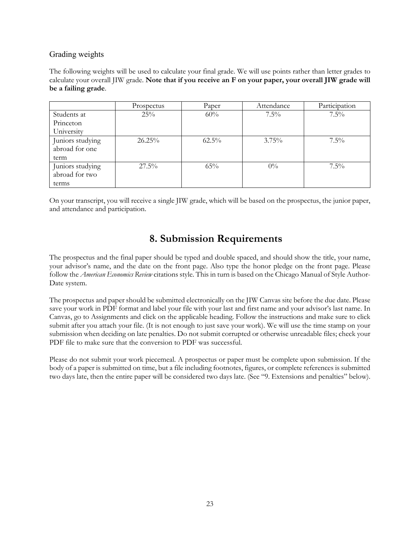#### <span id="page-23-0"></span>Grading weights

The following weights will be used to calculate your final grade. We will use points rather than letter grades to calculate your overall JIW grade. **Note that if you receive an F on your paper, your overall JIW grade will be a failing grade**.

|                                    | Prospectus | Paper    | Attendance | Participation |
|------------------------------------|------------|----------|------------|---------------|
| Students at                        | 25%        | 60%      | $7.5\%$    | $7.5\%$       |
| Princeton                          |            |          |            |               |
| University                         |            |          |            |               |
| Juniors studying<br>abroad for one | 26.25%     | $62.5\%$ | $3.75\%$   | $7.5\%$       |
| term                               |            |          |            |               |
| Juniors studying<br>abroad for two | $27.5\%$   | $65\%$   | $0\%$      | $7.5\%$       |
| terms                              |            |          |            |               |

On your transcript, you will receive a single JIW grade, which will be based on the prospectus, the junior paper, and attendance and participation.

# **8. Submission Requirements**

<span id="page-23-1"></span>The prospectus and the final paper should be typed and double spaced, and should show the title, your name, your advisor's name, and the date on the front page. Also type the honor pledge on the front page. Please follow the *American Economics Review* citations style. This in turn is based on the Chicago Manual of Style Author-Date system.

The prospectus and paper should be submitted electronically on the JIW Canvas site before the due date. Please save your work in PDF format and label your file with your last and first name and your advisor's last name. In Canvas, go to Assignments and click on the applicable heading. Follow the instructions and make sure to click submit after you attach your file. (It is not enough to just save your work). We will use the time stamp on your submission when deciding on late penalties. Do not submit corrupted or otherwise unreadable files; check your PDF file to make sure that the conversion to PDF was successful.

<span id="page-23-2"></span>Please do not submit your work piecemeal. A prospectus or paper must be complete upon submission. If the body of a paper is submitted on time, but a file including footnotes, figures, or complete references is submitted two days late, then the entire paper will be considered two days late. (See "9. Extensions and penalties" below).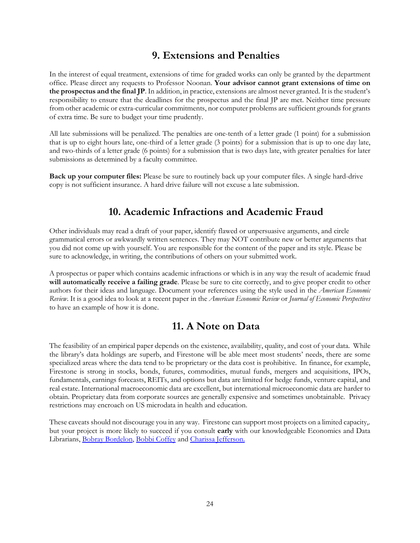# **9. Extensions and Penalties**

In the interest of equal treatment, extensions of time for graded works can only be granted by the department office. Please direct any requests to Professor Noonan. **Your advisor cannot grant extensions of time on the prospectus and the final JP**. In addition, in practice, extensions are almost never granted. It is the student's responsibility to ensure that the deadlines for the prospectus and the final JP are met. Neither time pressure from other academic or extra-curricular commitments, nor computer problems are sufficient grounds for grants of extra time. Be sure to budget your time prudently.

All late submissions will be penalized. The penalties are one-tenth of a letter grade (1 point) for a submission that is up to eight hours late, one-third of a letter grade (3 points) for a submission that is up to one day late, and two-thirds of a letter grade (6 points) for a submission that is two days late, with greater penalties for later submissions as determined by a faculty committee.

**Back up your computer files:** Please be sure to routinely back up your computer files. A single hard-drive copy is not sufficient insurance. A hard drive failure will not excuse a late submission.

# **10. Academic Infractions and Academic Fraud**

<span id="page-24-0"></span>Other individuals may read a draft of your paper, identify flawed or unpersuasive arguments, and circle grammatical errors or awkwardly written sentences. They may NOT contribute new or better arguments that you did not come up with yourself. You are responsible for the content of the paper and its style. Please be sure to acknowledge, in writing, the contributions of others on your submitted work.

A prospectus or paper which contains academic infractions or which is in any way the result of academic fraud **will automatically receive a failing grade**. Please be sure to cite correctly, and to give proper credit to other authors for their ideas and language. Document your references using the style used in the *American Economic Review*. It is a good idea to look at a recent paper in the *American Economic Review* or *Journal of Economic Perspectives* to have an example of how it is done.

# **11. A Note on Data**

<span id="page-24-1"></span>The feasibility of an empirical paper depends on the existence, availability, quality, and cost of your data. While the library's data holdings are superb, and Firestone will be able meet most students' needs, there are some specialized areas where the data tend to be proprietary or the data cost is prohibitive. In finance, for example, Firestone is strong in stocks, bonds, futures, commodities, mutual funds, mergers and acquisitions, IPOs, fundamentals, earnings forecasts, REITs, and options but data are limited for hedge funds, venture capital, and real estate. International macroeconomic data are excellent, but international microeconomic data are harder to obtain. Proprietary data from corporate sources are generally expensive and sometimes unobtainable. Privacy restrictions may encroach on US microdata in health and education.

These caveats should not discourage you in any way. Firestone can support most projects on a limited capacity,. but your project is more likely to succeed if you consult **early** with our knowledgeable Economics and Data Librarians, [Bobray Bordelon,](mailto:bordelon@princeton.edu) Bobbi [Coffey](mailto:bcoffey@princeton.edu) and [Charissa Jefferson.](mailto:charissaj@princeton.edu)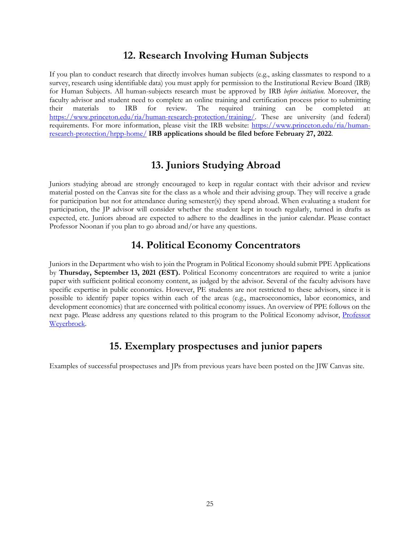## **12. Research Involving Human Subjects**

<span id="page-25-1"></span><span id="page-25-0"></span>If you plan to conduct research that directly involves human subjects (e.g., asking classmates to respond to a survey, research using identifiable data) you must apply for permission to the Institutional Review Board (IRB) for Human Subjects. All human-subjects research must be approved by IRB *before initiation*. Moreover, the faculty advisor and student need to complete an online training and certification process prior to submitting their materials to IRB for review. The required training can be completed at: [https://www.princeton.edu/ria/human-research-protection/training/.](https://www.princeton.edu/ria/human-research-protection/training/) These are university (and federal) requirements. For more information, please visit the IRB website: [https://www.princeton.edu/ria/human](https://www.princeton.edu/ria/human-research-protection/hrpp-home/)[research-protection/hrpp-home/](https://www.princeton.edu/ria/human-research-protection/hrpp-home/) **IRB applications should be filed before February 27, 2022**.

# **13. Juniors Studying Abroad**

Juniors studying abroad are strongly encouraged to keep in regular contact with their advisor and review material posted on the Canvas site for the class as a whole and their advising group. They will receive a grade for participation but not for attendance during semester(s) they spend abroad. When evaluating a student for participation, the JP advisor will consider whether the student kept in touch regularly, turned in drafts as expected, etc. Juniors abroad are expected to adhere to the deadlines in the junior calendar. Please contact Professor Noonan if you plan to go abroad and/or have any questions.

# **14. Political Economy Concentrators**

<span id="page-25-2"></span>Juniors in the Department who wish to join the Program in Political Economy should submit PPE Applications by **Thursday, September 13, 2021 (EST).** Political Economy concentrators are required to write a junior paper with sufficient political economy content, as judged by the advisor. Several of the faculty advisors have specific expertise in public economics. However, PE students are not restricted to these advisors, since it is possible to identify paper topics within each of the areas (e.g., macroeconomics, labor economics, and development economics) that are concerned with political economy issues. An overview of PPE follows on the next page. Please address any questions related to this program to the Political Economy advisor, **Professor** [Weyerbrock.](mailto:sweyerbr@princeton.edu)

# **15. Exemplary prospectuses and junior papers**

<span id="page-25-3"></span>Examples of successful prospectuses and JPs from previous years have been posted on the JIW Canvas site.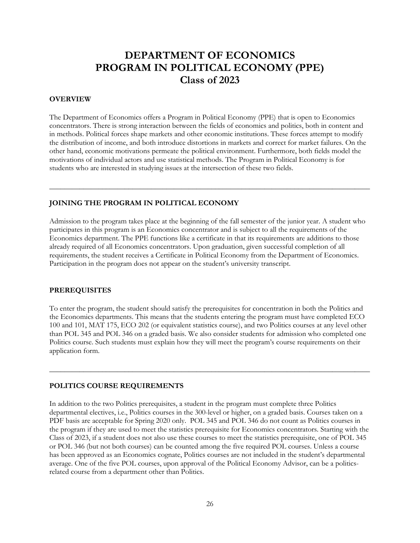# **DEPARTMENT OF ECONOMICS PROGRAM IN POLITICAL ECONOMY (PPE) Class of 2023**

#### **OVERVIEW**

The Department of Economics offers a Program in Political Economy (PPE) that is open to Economics concentrators. There is strong interaction between the fields of economics and politics, both in content and in methods. Political forces shape markets and other economic institutions. These forces attempt to modify the distribution of income, and both introduce distortions in markets and correct for market failures. On the other hand, economic motivations permeate the political environment. Furthermore, both fields model the motivations of individual actors and use statistical methods. The Program in Political Economy is for students who are interested in studying issues at the intersection of these two fields.

\_\_\_\_\_\_\_\_\_\_\_\_\_\_\_\_\_\_\_\_\_\_\_\_\_\_\_\_\_\_\_\_\_\_\_\_\_\_\_\_\_\_\_\_\_\_\_\_\_\_\_\_\_\_\_\_\_\_\_\_\_\_\_\_\_\_\_\_\_\_\_\_\_\_\_\_\_\_\_\_\_\_\_\_\_

#### **JOINING THE PROGRAM IN POLITICAL ECONOMY**

Admission to the program takes place at the beginning of the fall semester of the junior year. A student who participates in this program is an Economics concentrator and is subject to all the requirements of the Economics department. The PPE functions like a certificate in that its requirements are additions to those already required of all Economics concentrators. Upon graduation, given successful completion of all requirements, the student receives a Certificate in Political Economy from the Department of Economics. Participation in the program does not appear on the student's university transcript.

#### **PREREQUISITES**

To enter the program, the student should satisfy the prerequisites for concentration in both the Politics and the Economics departments. This means that the students entering the program must have completed ECO 100 and 101, MAT 175, ECO 202 (or equivalent statistics course), and two Politics courses at any level other than POL 345 and POL 346 on a graded basis. We also consider students for admission who completed one Politics course. Such students must explain how they will meet the program's course requirements on their application form.

\_\_\_\_\_\_\_\_\_\_\_\_\_\_\_\_\_\_\_\_\_\_\_\_\_\_\_\_\_\_\_\_\_\_\_\_\_\_\_\_\_\_\_\_\_\_\_\_\_\_\_\_\_\_\_\_\_\_\_\_\_\_\_\_\_\_\_\_\_\_\_\_\_\_\_\_\_\_\_\_\_\_\_\_\_

#### **POLITICS COURSE REQUIREMENTS**

In addition to the two Politics prerequisites, a student in the program must complete three Politics departmental electives, i.e., Politics courses in the 300-level or higher, on a graded basis. Courses taken on a PDF basis are acceptable for Spring 2020 only. POL 345 and POL 346 do not count as Politics courses in the program if they are used to meet the statistics prerequisite for Economics concentrators. Starting with the Class of 2023, if a student does not also use these courses to meet the statistics prerequisite, one of POL 345 or POL 346 (but not both courses) can be counted among the five required POL courses. Unless a course has been approved as an Economics cognate, Politics courses are not included in the student's departmental average. One of the five POL courses, upon approval of the Political Economy Advisor, can be a politicsrelated course from a department other than Politics.